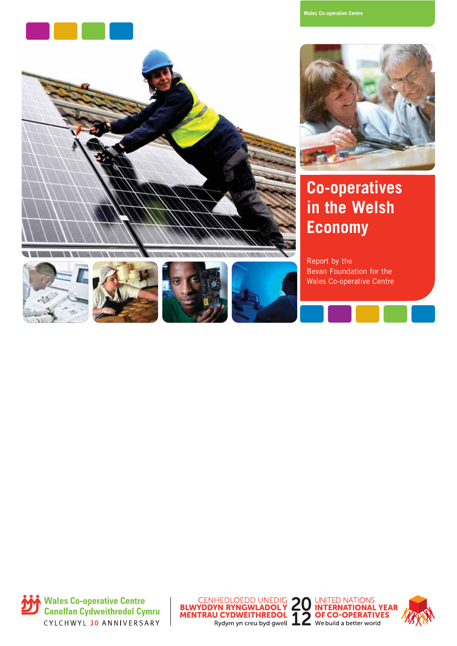

**Wales Co-operative Centre**





### **Co-operatives in the Welsh Economy**

Report by the Bevan Foundation for the Wales Co-operative Centre









Wales Co-operative Centre **Canolfan Cydweithredol Cymru** CYLCHWYL 30 ANNIVERSARY





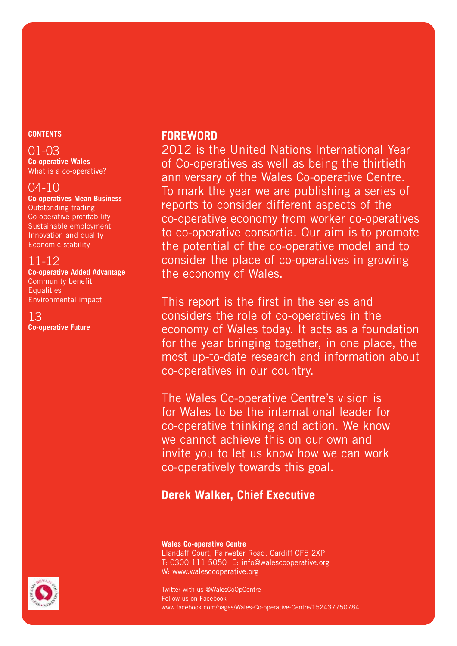#### **CONTENTS**

#### 01-03

**Co-operative Wales** What is a co-operative?

#### 04-10

**Co-operatives Mean Business** Outstanding trading Co-operative profitability Sustainable employment Innovation and quality Economic stability

#### 11-12

**Co-operative Added Advantage** Community benefit **Equalities** Environmental impact

#### 13 **Co-operative Future**

#### **FOREWORD**

2012 is the United Nations International Year of Co-operatives as well as being the thirtieth anniversary of the Wales Co-operative Centre. To mark the year we are publishing a series of reports to consider different aspects of the co-operative economy from worker co-operatives to co-operative consortia. Our aim is to promote the potential of the co-operative model and to consider the place of co-operatives in growing the economy of Wales.

This report is the first in the series and considers the role of co-operatives in the economy of Wales today. It acts as a foundation for the year bringing together, in one place, the most up-to-date research and information about co-operatives in our country.

The Wales Co-operative Centre's vision is for Wales to be the international leader for co-operative thinking and action. We know we cannot achieve this on our own and invite you to let us know how we can work co-operatively towards this goal.

#### **Derek Walker, Chief Executive**

#### **Wales Co-operative Centre** Llandaff Court, Fairwater Road, Cardiff CF5 2XP T: 0300 111 5050 E: info@walescooperative.org W: www.walescooperative.org

Twitter with us @WalesCoOpCentre Follow us on Facebook – www.facebook.com/pages/Wales-Co-operative-Centre/152437750784

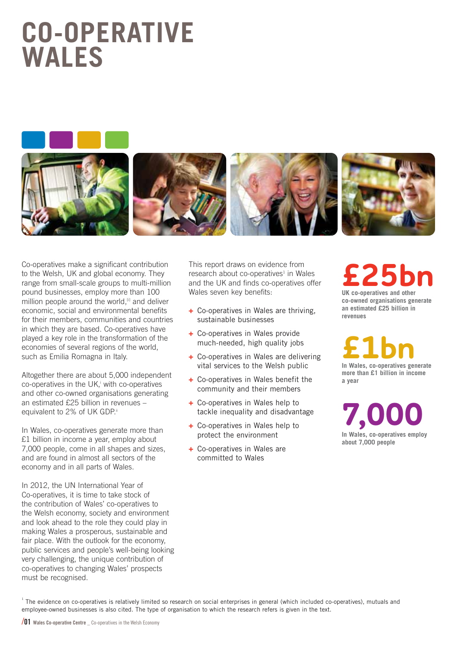### **CO-OPERATIVE WALES**





Co-operatives make a significant contribution to the Welsh, UK and global economy. They range from small-scale groups to multi-million pound businesses, employ more than 100 million people around the world,<sup>[i]</sup> and deliver economic, social and environmental benefits for their members, communities and countries in which they are based. Co-operatives have played a key role in the transformation of the economies of several regions of the world, such as Emilia Romagna in Italy.

Altogether there are about 5,000 independent co-operatives in the UK, with co-operatives and other co-owned organisations generating an estimated £25 billion in revenues – equivalent to 2% of UK GDP.ii

In Wales, co-operatives generate more than £1 billion in income a year, employ about 7,000 people, come in all shapes and sizes, and are found in almost all sectors of the economy and in all parts of Wales.

In 2012, the UN International Year of Co-operatives, it is time to take stock of the contribution of Wales' co-operatives to the Welsh economy, society and environment and look ahead to the role they could play in making Wales a prosperous, sustainable and fair place. With the outlook for the economy, public services and people's well-being looking very challenging, the unique contribution of co-operatives to changing Wales' prospects must be recognised.

This report draws on evidence from  $research$  about co-operatives<sup>1</sup> in Wales and the UK and finds co-operatives offer Wales seven key benefits:

- **+** Co-operatives in Wales are thriving, sustainable businesses
- **+** Co-operatives in Wales provide much-needed, high quality jobs
- **+** Co-operatives in Wales are delivering vital services to the Welsh public
- **+** Co-operatives in Wales benefit the community and their members
- **+** Co-operatives in Wales help to tackle inequality and disadvantage
- **+** Co-operatives in Wales help to protect the environment
- **+** Co-operatives in Wales are committed to Wales

### **£25bn UK co-operatives and other co-owned organisations generate an estimated £25 billion in**

**£1bn In Wales, co-operatives generate**

**revenues** 

**more than £1 billion in income a year**

**7,000 In Wales, co-operatives employ about 7,000 people**

<sup>1</sup> The evidence on co-operatives is relatively limited so research on social enterprises in general (which included co-operatives), mutuals and employee-owned businesses is also cited. The type of organisation to which the research refers is given in the text.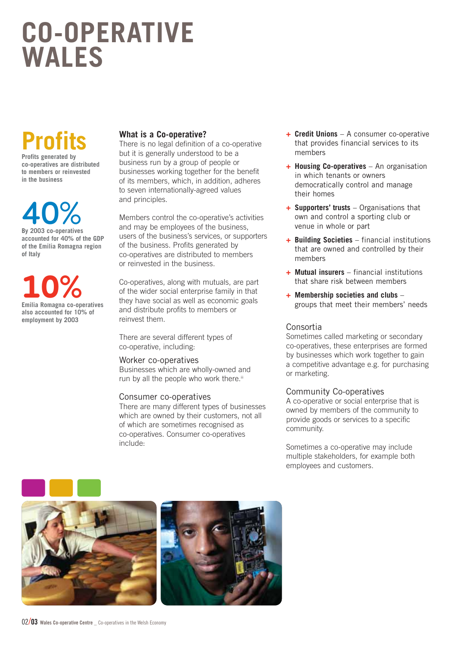### **CO-OPERATIVE WALES**

## **Profits**

**Profits generated by co-operatives are distributed to members or reinvested in the business**

**40% By 2003 co-operatives**

**accounted for 40% of the GDP of the Emilia Romagna region of Italy**

**10% Emilia Romagna co-operatives also accounted for 10% of employment by 2003**

#### **What is a Co-operative?**

There is no legal definition of a co-operative but it is generally understood to be a business run by a group of people or businesses working together for the benefit of its members, which, in addition, adheres to seven internationally-agreed values and principles.

Members control the co-operative's activities and may be employees of the business, users of the business's services, or supporters of the business. Profits generated by co-operatives are distributed to members or reinvested in the business.

Co-operatives, along with mutuals, are part of the wider social enterprise family in that they have social as well as economic goals and distribute profits to members or reinvest them.

There are several different types of co-operative, including:

#### Worker co-operatives

Businesses which are wholly-owned and run by all the people who work there.<sup>iii</sup>

#### Consumer co-operatives

There are many different types of businesses which are owned by their customers, not all of which are sometimes recognised as co-operatives. Consumer co-operatives include:

- **+ Credit Unions** A consumer co-operative that provides financial services to its members
- **+ Housing Co-operatives** An organisation in which tenants or owners democratically control and manage their homes
- **+ Supporters' trusts** Organisations that own and control a sporting club or venue in whole or part
- **+ Building Societies** financial institutions that are owned and controlled by their members
- **+ Mutual insurers** financial institutions that share risk between members
- **+ Membership societies and clubs** groups that meet their members' needs

#### Consortia

Sometimes called marketing or secondary co-operatives, these enterprises are formed by businesses which work together to gain a competitive advantage e.g. for purchasing or marketing.

#### Community Co-operatives

A co-operative or social enterprise that is owned by members of the community to provide goods or services to a specific community.

Sometimes a co-operative may include multiple stakeholders, for example both employees and customers.



02/**03 Wales Co-operative Centre \_** Co-operatives in the Welsh Economy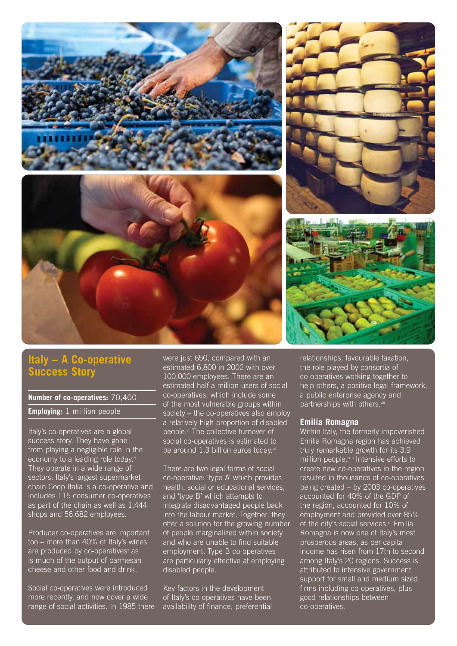

#### **Italy – A Co-operative Success Story**

#### **Number of co-operatives:** 70,400

**Employing:** 1 million people

Italy's co-operatives are a global success story. They have gone from playing a negligible role in the economy to a leading role today.iv They operate in a wide range of sectors: Italy's largest supermarket chain Coop Italia is a co-operative and includes 115 consumer co-operatives as part of the chain as well as 1,444 shops and 56,682 employees.

Producer co-operatives are important too – more than 40% of Italy's wines are produced by co-operatives<sup>v</sup> as is much of the output of parmesan cheese and other food and drink.

Social co-operatives were introduced more recently, and now cover a wide range of social activities. In 1985 there were just 650, compared with an estimated 6,800 in 2002 with over 100,000 employees. There are an estimated half a million users of social co-operatives, which include some of the most vulnerable groups within society – the co-operatives also employ a relatively high proportion of disabled people.vi The collective turnover of social co-operatives is estimated to be around 1.3 billion euros today.vii

There are two legal forms of social co-operative: 'type A' which provides health, social or educational services, and 'type B' which attempts to integrate disadvantaged people back into the labour market. Together, they offer a solution for the growing number of people marginalized within society and who are unable to find suitable employment. Type B co-operatives are particularly effective at employing disabled people.

Key factors in the development of Italy's co-operatives have been availability of finance, preferential

relationships, favourable taxation, the role played by consortia of co-operatives working together to help others, a positive legal framework, a public enterprise agency and partnerships with others.<sup>v</sup>

#### **Emilia Romagna**

Within Italy, the formerly impoverished Emilia Romagna region has achieved truly remarkable growth for its 3.9 million people.<sup>ix x</sup> Intensive efforts to create new co-operatives in the region resulted in thousands of co-operatives being created – by 2003 co-operatives accounted for 40% of the GDP of the region, accounted for 10% of employment and provided over 85% of the city's social services.<sup>xi</sup> Emilia Romagna is now one of Italy's most prosperous areas, as per capita income has risen from 17th to second among Italy's 20 regions. Success is attributed to intensive government support for small and medium sized firms including co-operatives, plus good relationships between co-operatives.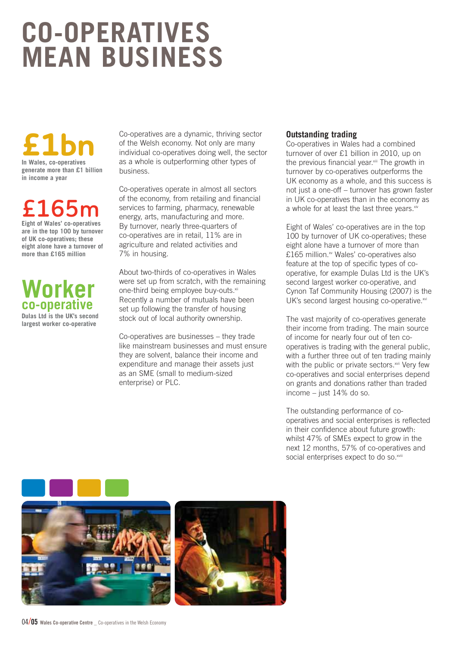## **CO-OPERATIVES MEAN BUSINESS**

# **£1bn In Wales, co-operatives**

**generate more than £1 billion in income a year**

# **£165m Eight of Wales' co-operatives**

**are in the top 100 by turnover of UK co-operatives; these eight alone have a turnover of more than £165 million**

### **Worker co-operative**

**Dulas Ltd is the UK's second largest worker co-operative**

Co-operatives are a dynamic, thriving sector of the Welsh economy. Not only are many individual co-operatives doing well, the sector as a whole is outperforming other types of business.

Co-operatives operate in almost all sectors of the economy, from retailing and financial services to farming, pharmacy, renewable energy, arts, manufacturing and more. By turnover, nearly three-quarters of co-operatives are in retail, 11% are in agriculture and related activities and 7% in housing.

About two-thirds of co-operatives in Wales were set up from scratch, with the remaining one-third being employee buy-outs.<sup>xii</sup> Recently a number of mutuals have been set up following the transfer of housing stock out of local authority ownership.

Co-operatives are businesses – they trade like mainstream businesses and must ensure they are solvent, balance their income and expenditure and manage their assets just as an SME (small to medium-sized enterprise) or PLC.

#### **Outstanding trading**

Co-operatives in Wales had a combined turnover of over £1 billion in 2010, up on the previous financial year.xiii The growth in turnover by co-operatives outperforms the UK economy as a whole, and this success is not just a one-off – turnover has grown faster in UK co-operatives than in the economy as a whole for at least the last three years. xiv

Eight of Wales' co-operatives are in the top 100 by turnover of UK co-operatives; these eight alone have a turnover of more than £165 million.<sup>xv</sup> Wales' co-operatives also feature at the top of specific types of cooperative, for example Dulas Ltd is the UK's second largest worker co-operative, and Cynon Taf Community Housing (2007) is the UK's second largest housing co-operative. $x^{wi}$ 

The vast majority of co-operatives generate their income from trading. The main source of income for nearly four out of ten cooperatives is trading with the general public, with a further three out of ten trading mainly with the public or private sectors.<sup>xvii</sup> Very few co-operatives and social enterprises depend on grants and donations rather than traded income – just 14% do so.

The outstanding performance of cooperatives and social enterprises is reflected in their confidence about future growth: whilst 47% of SMEs expect to grow in the next 12 months, 57% of co-operatives and social enterprises expect to do so.<sup>xviii</sup>

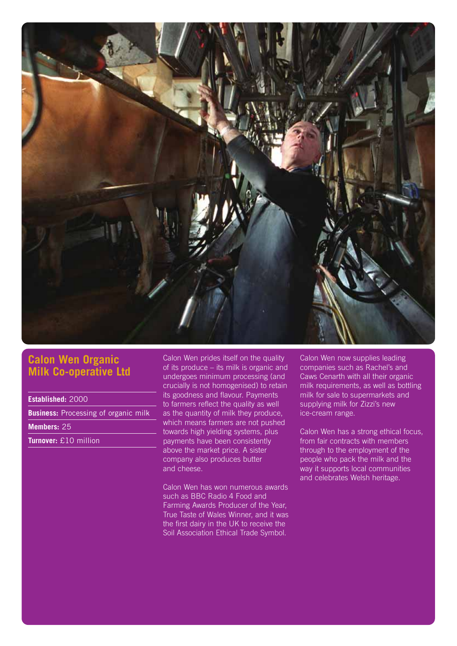

#### **Calon Wen Organic Milk Co-operative Ltd**

**Established:** 2000

**Business:** Processing of organic milk

**Members:** 25

**Turnover:** £10 million

Calon Wen prides itself on the quality of its produce – its milk is organic and undergoes minimum processing (and crucially is not homogenised) to retain its goodness and flavour. Payments to farmers reflect the quality as well as the quantity of milk they produce, which means farmers are not pushed towards high yielding systems, plus payments have been consistently above the market price. A sister company also produces butter and cheese.

Calon Wen has won numerous awards such as BBC Radio 4 Food and Farming Awards Producer of the Year, True Taste of Wales Winner, and it was the first dairy in the UK to receive the Soil Association Ethical Trade Symbol.

Calon Wen now supplies leading companies such as Rachel's and Caws Cenarth with all their organic milk requirements, as well as bottling milk for sale to supermarkets and supplying milk for Zizzi's new ice-cream range.

Calon Wen has a strong ethical focus, from fair contracts with members through to the employment of the people who pack the milk and the way it supports local communities and celebrates Welsh heritage.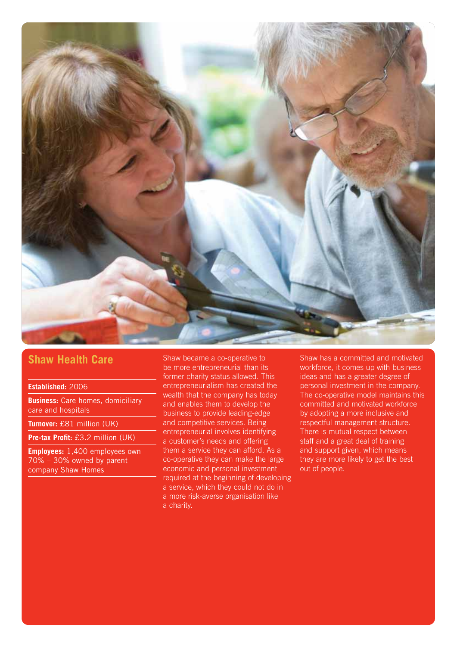

#### **Shaw Health Care**

#### **Established:** 2006

**Business:** Care homes, domiciliary care and hospitals

**Turnover:** £81 million (UK)

**Pre-tax Profit:** £3.2 million (UK)

**Employees:** 1,400 employees own 70% – 30% owned by parent company Shaw Homes

Shaw became a co-operative to be more entrepreneurial than its former charity status allowed. This entrepreneurialism has created the wealth that the company has today and enables them to develop the business to provide leading-edge and competitive services. Being entrepreneurial involves identifying a customer's needs and offering them a service they can afford. As a co-operative they can make the large economic and personal investment required at the beginning of developing a service, which they could not do in a more risk-averse organisation like a charity.

Shaw has a committed and motivated workforce, it comes up with business ideas and has a greater degree of personal investment in the company. The co-operative model maintains this committed and motivated workforce by adopting a more inclusive and respectful management structure. There is mutual respect between staff and a great deal of training and support given, which means they are more likely to get the best out of people.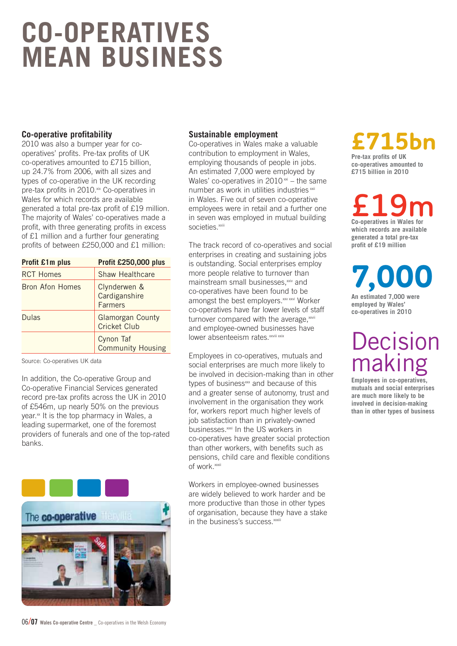## **CO-OPERATIVES MEAN BUSINESS**

#### **Co-operative profitability**

2010 was also a bumper year for cooperatives' profits. Pre-tax profits of UK co-operatives amounted to £715 billion, up 24.7% from 2006, with all sizes and types of co-operative in the UK recording pre-tax profits in 2010.<sup>xix</sup> Co-operatives in Wales for which records are available generated a total pre-tax profit of £19 million. The majority of Wales' co-operatives made a profit, with three generating profits in excess of £1 million and a further four generating profits of between £250,000 and £1 million:

| <b>Profit £1m plus</b> | Profit £250,000 plus                            |
|------------------------|-------------------------------------------------|
| <b>RCT Homes</b>       | <b>Shaw Healthcare</b>                          |
| <b>Bron Afon Homes</b> | Clynderwen &<br>Cardiganshire<br><b>Farmers</b> |
| Dulas                  | <b>Glamorgan County</b><br>Cricket Club         |
|                        | Cynon Taf<br><b>Community Housing</b>           |

Source: Co-operatives UK data

In addition, the Co-operative Group and Co-operative Financial Services generated record pre-tax profits across the UK in 2010 of £546m, up nearly 50% on the previous year.<sup>xx</sup> It is the top pharmacy in Wales, a leading supermarket, one of the foremost providers of funerals and one of the top-rated banks.



#### **Sustainable employment**

Co-operatives in Wales make a valuable contribution to employment in Wales, employing thousands of people in jobs. An estimated 7,000 were employed by Wales' co-operatives in  $2010 \times x$  – the same number as work in utilities industries xxii in Wales. Five out of seven co-operative employees were in retail and a further one in seven was employed in mutual building societies.<sup>xxiii</sup>

The track record of co-operatives and social enterprises in creating and sustaining jobs is outstanding. Social enterprises employ more people relative to turnover than mainstream small businesses.<sup>xxiv</sup> and co-operatives have been found to be amongst the best employers.<sup>xxv xxvi</sup> Worker co-operatives have far lower levels of staff turnover compared with the average, xxviii and employee-owned businesses have lower absenteeism rates.<sup>xxviii xxix</sup>

Employees in co-operatives, mutuals and social enterprises are much more likely to be involved in decision-making than in other types of business<sup>xxx</sup> and because of this and a greater sense of autonomy, trust and involvement in the organisation they work for, workers report much higher levels of job satisfaction than in privately-owned businesses.<sup>xxxi</sup> In the US workers in co-operatives have greater social protection than other workers, with benefits such as pensions, child care and flexible conditions of work.xxxii

Workers in employee-owned businesses are widely believed to work harder and be more productive than those in other types of organisation, because they have a stake in the business's success.<sup>xxxiii</sup>

## **£715bn Pre-tax profits of UK**

**co-operatives amounted to £715 billion in 2010**

**£19m Co-operatives in Wales for which records are available generated a total pre-tax** 

**profit of £19 million**

**7,000**

**An estimated 7,000 were employed by Wales' co-operatives in 2010**

### **Decision** making

**Employees in co-operatives, mutuals and social enterprises are much more likely to be involved in decision-making than in other types of business**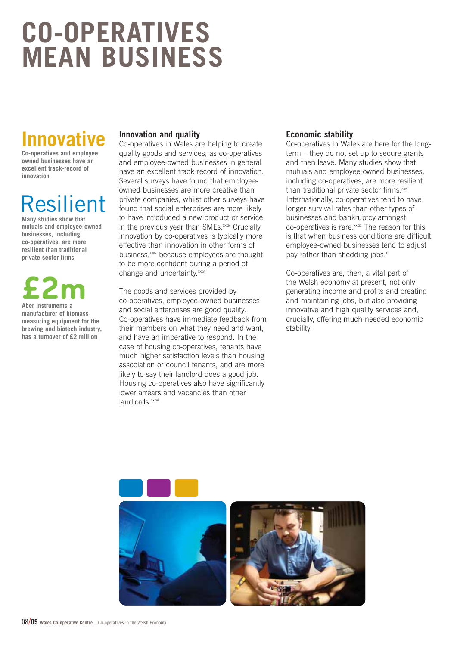## **CO-OPERATIVES MEAN BUSINESS**

### **Innva**

**Co-operatives and employee owned businesses have an excellent track-record of innovation**

### Resilient

**Many studies show that mutuals and employee-owned businesses, including co-operatives, are more resilient than traditional private sector firms**

# **£2m Aber Instruments a**

**manufacturer of biomass measuring equipment for the brewing and biotech industry, has a turnover of £2 million** 

#### **Innovation and quality**

Co-operatives in Wales are helping to create quality goods and services, as co-operatives and employee-owned businesses in general have an excellent track-record of innovation. Several surveys have found that employeeowned businesses are more creative than private companies, whilst other surveys have found that social enterprises are more likely to have introduced a new product or service in the previous year than SMEs.<sup>xxxiv</sup> Crucially, innovation by co-operatives is typically more effective than innovation in other forms of business, xxxv because employees are thought to be more confident during a period of change and uncertainty.<sup>xxxvi</sup>

The goods and services provided by co-operatives, employee-owned businesses and social enterprises are good quality. Co-operatives have immediate feedback from their members on what they need and want, and have an imperative to respond. In the case of housing co-operatives, tenants have much higher satisfaction levels than housing association or council tenants, and are more likely to say their landlord does a good job. Housing co-operatives also have significantly lower arrears and vacancies than other landlords<sup>xxxvii</sup>

#### **Economic stability**

Co-operatives in Wales are here for the longterm – they do not set up to secure grants and then leave. Many studies show that mutuals and employee-owned businesses, including co-operatives, are more resilient than traditional private sector firms.<sup>xxviii</sup> Internationally, co-operatives tend to have longer survival rates than other types of businesses and bankruptcy amongst co-operatives is rare.xxxix The reason for this is that when business conditions are difficult employee-owned businesses tend to adjust pay rather than shedding jobs.<sup>xl</sup>

Co-operatives are, then, a vital part of the Welsh economy at present, not only generating income and profits and creating and maintaining jobs, but also providing innovative and high quality services and, crucially, offering much-needed economic stability.

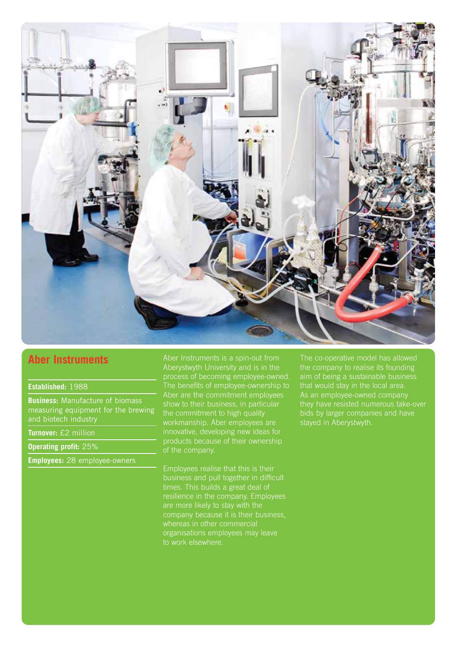

#### **Aber Instruments**

#### **Established:** 1988

**Business:** Manufacture of biomass measuring equipment for the brewing and biotech industry

**Turnover:** £2 million

**Operating profit:** 25%

**Employees:** 28 employee-owners

Aber Instruments is a spin-out from Aberystwyth University and is in the process of becoming employee-owned. The benefits of employee-ownership to Aber are the commitment employees workmanship. Aber employees are innovative, developing new ideas for products because of their ownership of the company.

Employees realise that this is their business and pull together in difficult times. This builds a great deal of resilience in the company. Employees company because it is their business, organisations employees may leave to work elsewhere.

The co-operative model has allowed the company to realise its founding aim of being a sustainable business that would stay in the local area. As an employee-owned company stayed in Aberystwyth.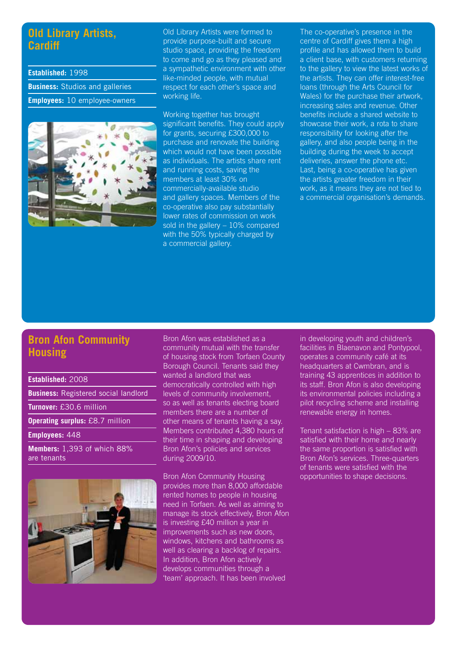#### **Old Library Artists, Cardiff**

**Established:** 1998 **Business:** Studios and galleries **Employees:** 10 employee-owners



Old Library Artists were formed to provide purpose-built and secure studio space, providing the freedom to come and go as they pleased and a sympathetic environment with other like-minded people, with mutual respect for each other's space and working life.

Working together has brought significant benefits. They could apply for grants, securing £300,000 to purchase and renovate the building which would not have been possible as individuals. The artists share rent and running costs, saving the members at least 30% on commercially-available studio and gallery spaces. Members of the co-operative also pay substantially lower rates of commission on work sold in the gallery – 10% compared with the 50% typically charged by a commercial gallery.

The co-operative's presence in the centre of Cardiff gives them a high profile and has allowed them to build a client base, with customers returning to the gallery to view the latest works of the artists. They can offer interest-free loans (through the Arts Council for Wales) for the purchase their artwork, increasing sales and revenue. Other benefits include a shared website to showcase their work, a rota to share responsibility for looking after the gallery, and also people being in the building during the week to accept deliveries, answer the phone etc. Last, being a co-operative has given the artists greater freedom in their work, as it means they are not tied to a commercial organisation's demands.

#### **Bron Afon Community Housing**

**Established:** 2008

**Business:** Registered social landlord

**Turnover:** £30.6 million

**Operating surplus:** £8.7 million

**Employees:** 448

**Members:** 1,393 of which 88% are tenants



Bron Afon was established as a community mutual with the transfer of housing stock from Torfaen County Borough Council. Tenants said they wanted a landlord that was democratically controlled with high levels of community involvement, so as well as tenants electing board members there are a number of other means of tenants having a say. Members contributed 4,380 hours of their time in shaping and developing Bron Afon's policies and services during 2009/10.

Bron Afon Community Housing provides more than 8,000 affordable rented homes to people in housing need in Torfaen. As well as aiming to manage its stock effectively, Bron Afon is investing £40 million a year in improvements such as new doors, windows, kitchens and bathrooms as well as clearing a backlog of repairs. In addition, Bron Afon actively develops communities through a 'team' approach. It has been involved

in developing youth and children's facilities in Blaenavon and Pontypool, operates a community café at its headquarters at Cwmbran, and is training 43 apprentices in addition to its staff. Bron Afon is also developing its environmental policies including a pilot recycling scheme and installing renewable energy in homes.

Tenant satisfaction is high – 83% are satisfied with their home and nearly the same proportion is satisfied with Bron Afon's services. Three-quarters of tenants were satisfied with the opportunities to shape decisions.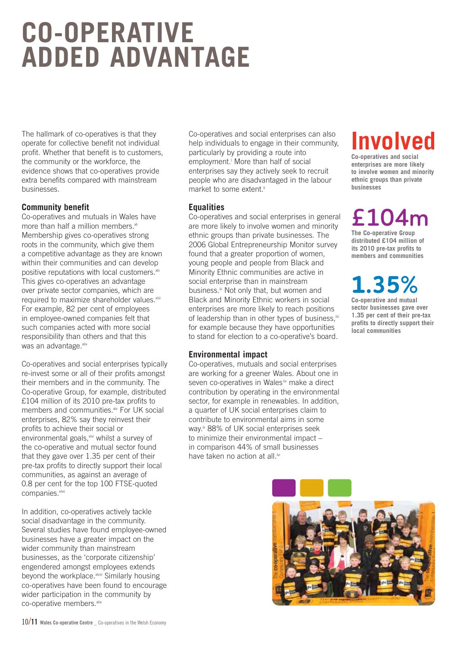## **CO-OPERATIVE ADDED ADVANTAGE**

The hallmark of co-operatives is that they operate for collective benefit not individual profit. Whether that benefit is to customers, the community or the workforce, the evidence shows that co-operatives provide extra benefits compared with mainstream businesses.

#### **Community benefit**

Co-operatives and mutuals in Wales have more than half a million members. $x$ li Membership gives co-operatives strong roots in the community, which give them a competitive advantage as they are known within their communities and can develop positive reputations with local customers.<sup>xlii</sup> This gives co-operatives an advantage over private sector companies, which are required to maximize shareholder values.<sup>xliii</sup> For example, 82 per cent of employees in employee-owned companies felt that such companies acted with more social responsibility than others and that this was an advantage. **xliv** 

Co-operatives and social enterprises typically re-invest some or all of their profits amongst their members and in the community. The Co-operative Group, for example, distributed £104 million of its 2010 pre-tax profits to members and communities.xlv For UK social enterprises, 82% say they reinvest their profits to achieve their social or environmental goals, xlvi whilst a survey of the co-operative and mutual sector found that they gave over 1.35 per cent of their pre-tax profits to directly support their local communities, as against an average of 0.8 per cent for the top 100 FTSE-quoted companies.xlvii

In addition, co-operatives actively tackle social disadvantage in the community. Several studies have found employee-owned businesses have a greater impact on the wider community than mainstream businesses, as the 'corporate citizenship' engendered amongst employees extends beyond the workplace.<sup>xlviii</sup> Similarly housing co-operatives have been found to encourage wider participation in the community by co-operative members.<sup>xlix</sup>

Co-operatives and social enterprises can also help individuals to engage in their community, particularly by providing a route into employment.<sup>1</sup> More than half of social enterprises say they actively seek to recruit people who are disadvantaged in the labour market to some extent.<sup>ii</sup>

#### **Equalities**

Co-operatives and social enterprises in general are more likely to involve women and minority ethnic groups than private businesses. The 2006 Global Entrepreneurship Monitor survey found that a greater proportion of women, young people and people from Black and Minority Ethnic communities are active in social enterprise than in mainstream business.<sup>ii</sup> Not only that, but women and Black and Minority Ethnic workers in social enterprises are more likely to reach positions of leadership than in other types of business, iii for example because they have opportunities to stand for election to a co-operative's board.

#### **Environmental impact**

Co-operatives, mutuals and social enterprises are working for a greener Wales. About one in seven co-operatives in Wales<sup>liv</sup> make a direct contribution by operating in the environmental sector, for example in renewables. In addition, a quarter of UK social enterprises claim to contribute to environmental aims in some way.<sup>1</sup> 88% of UK social enterprises seek to minimize their environmental impact – in comparison 44% of small businesses have taken no action at all.<sup>Mi</sup>

### **Involved**

**Co-operatives and social enterprises are more likely to involve women and minority ethnic groups than private businesses**

**£104m The Co-operative Group**

**distributed £104 million of its 2010 pre-tax profits to members and communities**

### **1.35%**

**Co-operative and mutual sector businesses gave over 1.35 per cent of their pre-tax profits to directly support their local communities**

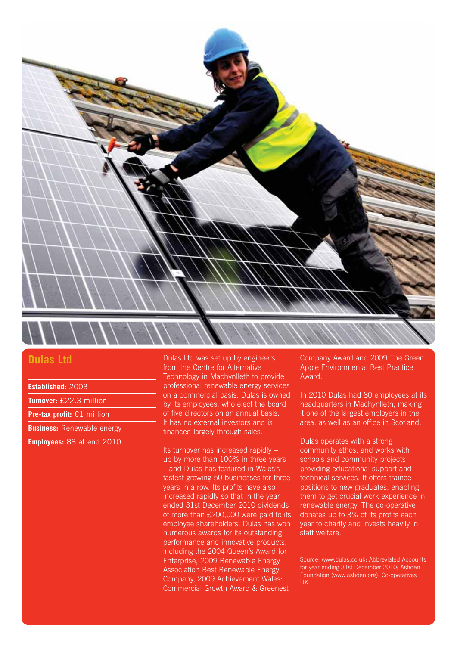

#### **Dulas Ltd**

**Established:** 2003

**Turnover:** £22.3 million

**Pre-tax profit:** £1 million

**Business:** Renewable energy

**Employees:** 88 at end 2010

Dulas Ltd was set up by engineers from the Centre for Alternative Technology in Machynlleth to provide professional renewable energy services on a commercial basis. Dulas is owned by its employees, who elect the board of five directors on an annual basis. It has no external investors and is financed largely through sales.

Its turnover has increased rapidly – up by more than 100% in three years – and Dulas has featured in Wales's fastest growing 50 businesses for three years in a row. Its profits have also increased rapidly so that in the year ended 31st December 2010 dividends of more than £200,000 were paid to its employee shareholders. Dulas has won numerous awards for its outstanding performance and innovative products, including the 2004 Queen's Award for Enterprise, 2009 Renewable Energy Association Best Renewable Energy Company, 2009 Achievement Wales: Commercial Growth Award & Greenest

Company Award and 2009 The Green Apple Environmental Best Practice Award.

In 2010 Dulas had 80 employees at its headquarters in Machynlleth, making it one of the largest employers in the area, as well as an office in Scotland.

Dulas operates with a strong community ethos, and works with schools and community projects providing educational support and technical services. It offers trainee positions to new graduates, enabling them to get crucial work experience in renewable energy. The co-operative donates up to 3% of its profits each year to charity and invests heavily in staff welfare.

Source: www.dulas.co.uk; Abbreviated Accounts for year ending 31st December 2010; Ashden Foundation (www.ashden.org); Co-operatives UK.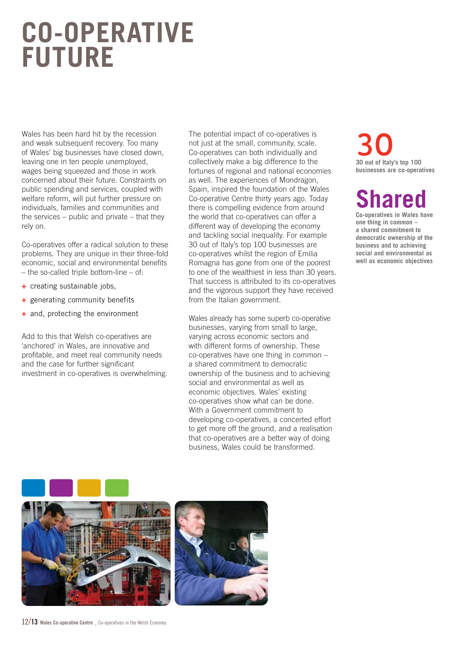### **CO-OPERATIVE FUTURE**

Wales has been hard hit by the recession and weak subsequent recovery. Too many of Wales' big businesses have closed down, leaving one in ten people unemployed, wages being squeezed and those in work concerned about their future. Constraints on public spending and services, coupled with welfare reform, will put further pressure on individuals, families and communities and the services – public and private – that they rely on.

Co-operatives offer a radical solution to these problems. They are unique in their three-fold economic, social and environmental benefits – the so-called triple bottom-line – of:

- **+** creating sustainable jobs,
- **+** generating community benefits
- **+** and, protecting the environment

Add to this that Welsh co-operatives are 'anchored' in Wales, are innovative and profitable, and meet real community needs and the case for further significant investment in co-operatives is overwhelming.

The potential impact of co-operatives is not just at the small, community, scale. Co-operatives can both individually and collectively make a big difference to the fortunes of regional and national economies as well. The experiences of Mondragon, Spain, inspired the foundation of the Wales Co-operative Centre thirty years ago. Today there is compelling evidence from around the world that co-operatives can offer a different way of developing the economy and tackling social inequality. For example 30 out of Italy's top 100 businesses are co-operatives whilst the region of Emilia Romagna has gone from one of the poorest to one of the wealthiest in less than 30 years. That success is attributed to its co-operatives and the vigorous support they have received from the Italian government.

Wales already has some superb co-operative businesses, varying from small to large, varying across economic sectors and with different forms of ownership. These co-operatives have one thing in common – a shared commitment to democratic ownership of the business and to achieving social and environmental as well as economic objectives. Wales' existing co-operatives show what can be done. With a Government commitment to developing co-operatives, a concerted effort to get more off the ground, and a realisation that co-operatives are a better way of doing business, Wales could be transformed.

### **30** out of Italy's top 100 **businesses are co-operatives**

### **hared**

**Co-operatives in Wales have one thing in common – a shared commitment to democratic ownership of the business and to achieving social and environmental as well as economic objectives**